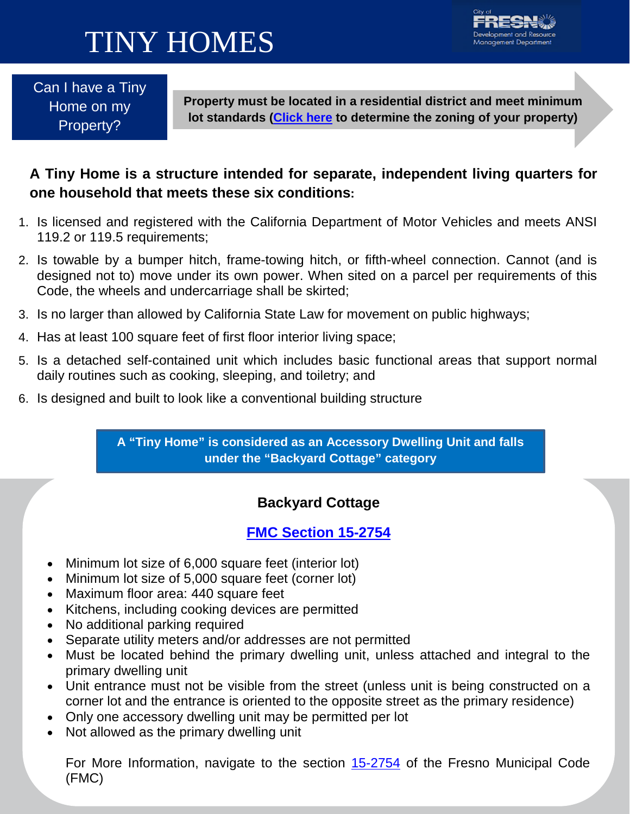# TINY HOMES



Can I have a Tiny Home on my Property?

**Property must be located in a residential district and meet minimum lot standards [\(Click](http://gis4u.fresno.gov/zoningcode/) here to determine the zoning of your property)**

### **A Tiny Home is a structure intended for separate, independent living quarters for one household that meets these six conditions:**

- 1. Is licensed and registered with the California Department of Motor Vehicles and meets ANSI 119.2 or 119.5 requirements;
- 2. Is towable by a bumper hitch, frame-towing hitch, or fifth-wheel connection. Cannot (and is designed not to) move under its own power. When sited on a parcel per requirements of this Code, the wheels and undercarriage shall be skirted;
- 3. Is no larger than allowed by California State Law for movement on public highways;
- 4. Has at least 100 square feet of first floor interior living space;
- 5. Is a detached self-contained unit which includes basic functional areas that support normal daily routines such as cooking, sleeping, and toiletry; and
- 6. Is designed and built to look like a conventional building structure.

**A "Tiny Home" is considered as an Accessory Dwelling Unit and falls under the "Backyard Cottage" category**

### **Backyard Cottage**

### **[FMC Section 15-2754](https://library.municode.com/ca/fresno/codes/code_of_ordinances?nodeId=MUCOFR_CH15CIDECOINRE_PTIIIREAPSOALDI_ART27STSPUSAC_S15-2754SEDWUNBACOACLIQU)**

- Minimum lot size of 6,000 square feet (interior lot)
- Minimum lot size of 5,000 square feet (corner lot)
- Maximum floor area: 440 square feet
- Kitchens, including cooking devices are permitted
- No additional parking required
- Separate utility meters and/or addresses are not permitted
- Must be located behind the primary dwelling unit, unless attached and integral to the primary dwelling unit
- Unit entrance must not be visible from the street (unless unit is being constructed on a corner lot and the entrance is oriented to the opposite street as the primary residence)
- Only one accessory dwelling unit may be permitted per lot
- Not allowed as the primary dwelling unit

For More Information, navigate to the section [15-2754](https://library.municode.com/ca/fresno/codes/code_of_ordinances?nodeId=MUCOFR_CH15CIDECOINRE_PTIIIREAPSOALDI_ART27STSPUSAC_S15-2754SEDWUNBACOACLIQU) of the Fresno Municipal Code (FMC)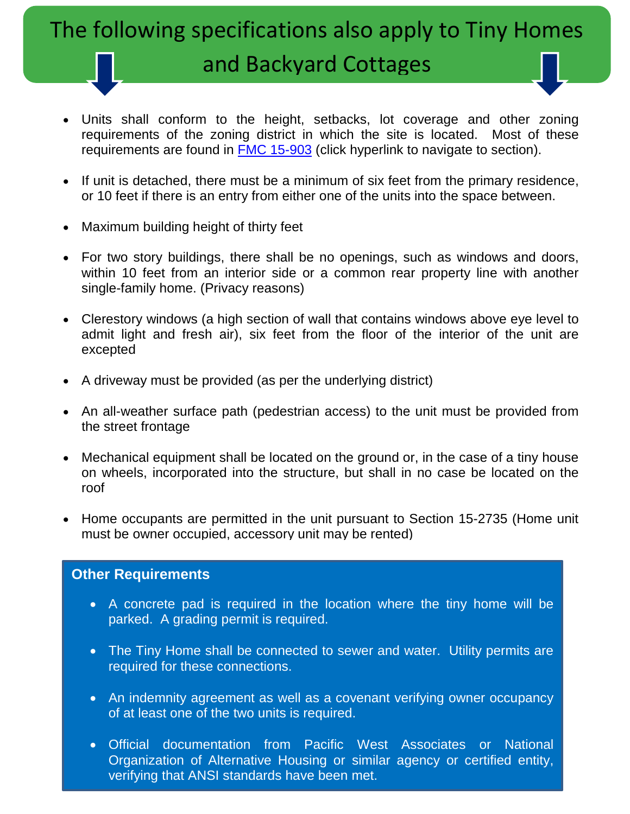## The following specifications also apply to Tiny Homes

### and Backyard Cottages

- Units shall conform to the height, setbacks, lot coverage and other zoning requirements of the zoning district in which the site is located. Most of these requirements are found in [FMC 15-903](https://library.municode.com/ca/fresno/codes/code_of_ordinances?nodeId=MUCOFR_CH15CIDECOINRE_PTIIBAOVDI_ART9RESIMIDIRS_S15-903DEMADEST) (click hyperlink to navigate to section).
- If unit is detached, there must be a minimum of six feet from the primary residence, or 10 feet if there is an entry from either one of the units into the space between.
- Maximum building height of thirty feet
- For two story buildings, there shall be no openings, such as windows and doors, within 10 feet from an interior side or a common rear property line with another single-family home. (Privacy reasons)
- Clerestory windows (a high section of wall that contains windows above eye level to admit light and fresh air), six feet from the floor of the interior of the unit are excepted
- A driveway must be provided (as per the underlying district)
- An all-weather surface path (pedestrian access) to the unit must be provided from the street frontage
- Mechanical equipment shall be located on the ground or, in the case of a tiny house on wheels, incorporated into the structure, but shall in no case be located on the roof
- Home occupants are permitted in the unit pursuant to Section 15-2735 (Home unit must be owner occupied, accessory unit may be rented)

#### **Other Requirements**

- A concrete pad is required in the location where the tiny home will be parked. A grading permit is required.
- The Tiny Home shall be connected to sewer and water. Utility permits are required for these connections.
- An indemnity agreement as well as a covenant verifying owner occupancy of at least one of the two units is required.
- Official documentation from Pacific West Associates or National Organization of Alternative Housing or similar agency or certified entity, verifying that ANSI standards have been met.